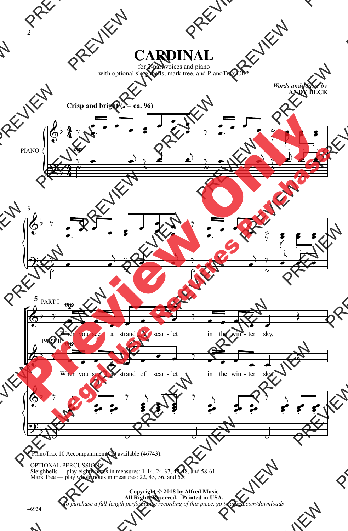for 2-part voices and piano with optional sleighbells, mark tree, and PianoTrax CD\* **CARDINAL**

> *Words and Music by* **ANDY BECK**



\* PianoTrax 10 Accompaniment CD available (46743).

OPTIONAL PERCUSSION:

 Sleighbells — play eighth notes in measures: 1-14, 24-37, 47-48, and 58-61. Mark Tree — play whole notes in measures: 22, 45, 56, and 62.

> **Copyright © 2018 by Alfred Music All Rights Reserved. Printed in USA.** *To purchase a full-length performance recording of this piece, go to alfred.com/downloads*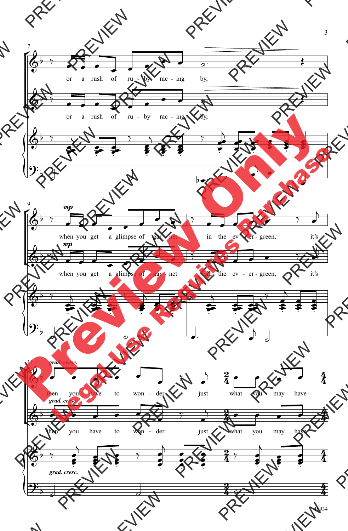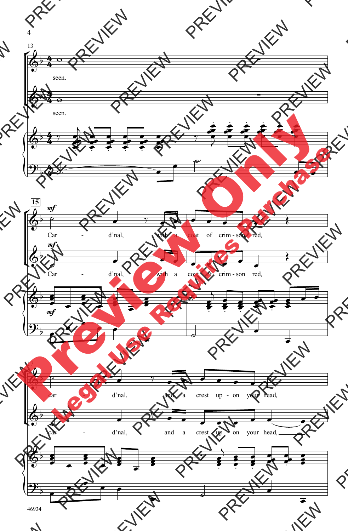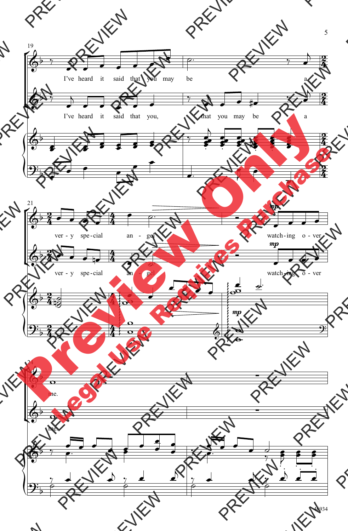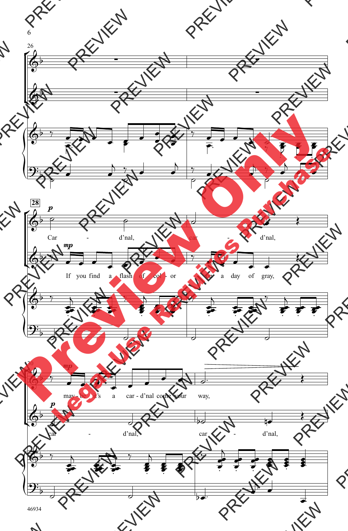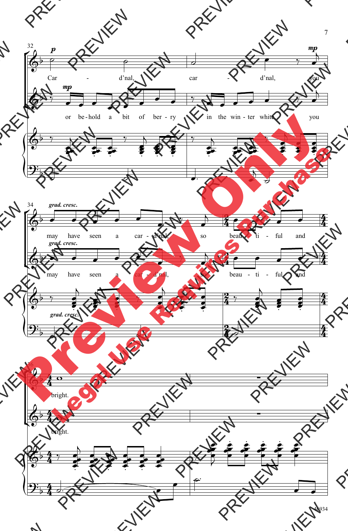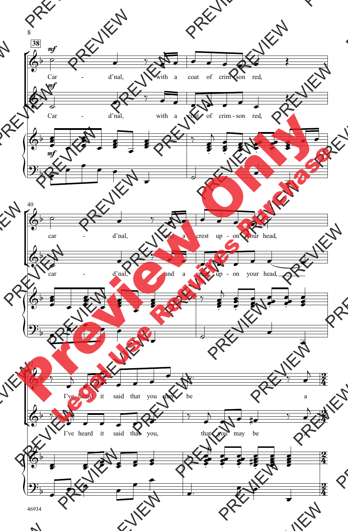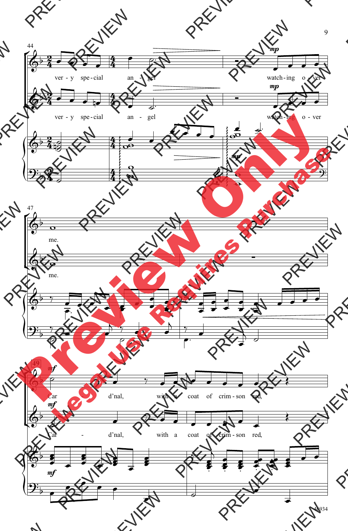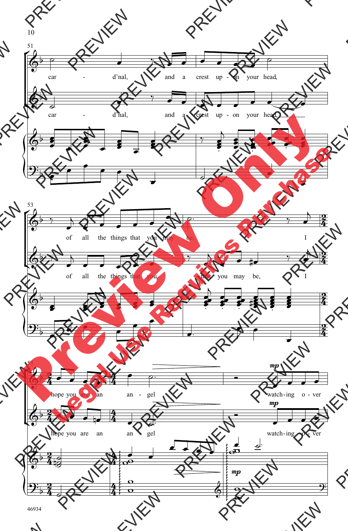